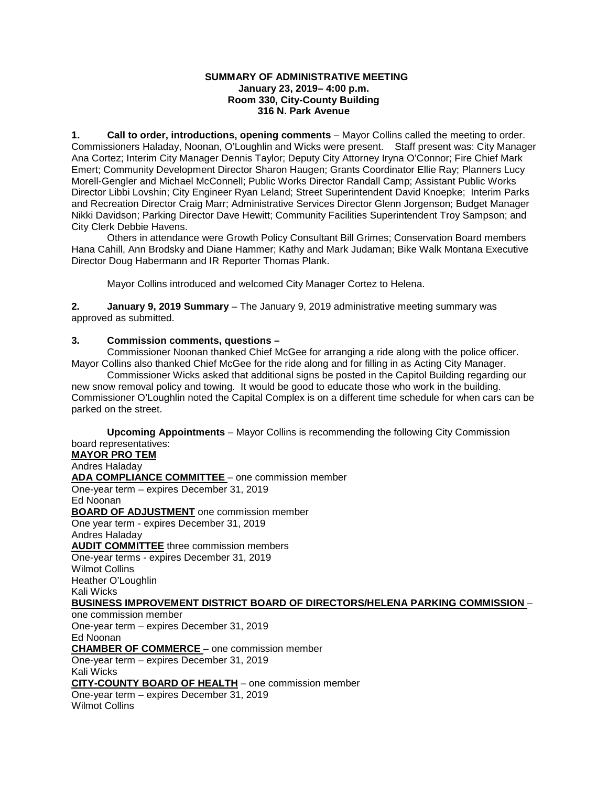#### **SUMMARY OF ADMINISTRATIVE MEETING January 23, 2019– 4:00 p.m. Room 330, City-County Building 316 N. Park Avenue**

**1. Call to order, introductions, opening comments** – Mayor Collins called the meeting to order. Commissioners Haladay, Noonan, O'Loughlin and Wicks were present. Staff present was: City Manager Ana Cortez; Interim City Manager Dennis Taylor; Deputy City Attorney Iryna O'Connor; Fire Chief Mark Emert; Community Development Director Sharon Haugen; Grants Coordinator Ellie Ray; Planners Lucy Morell-Gengler and Michael McConnell; Public Works Director Randall Camp; Assistant Public Works Director Libbi Lovshin; City Engineer Ryan Leland; Street Superintendent David Knoepke; Interim Parks and Recreation Director Craig Marr; Administrative Services Director Glenn Jorgenson; Budget Manager Nikki Davidson; Parking Director Dave Hewitt; Community Facilities Superintendent Troy Sampson; and City Clerk Debbie Havens.

Others in attendance were Growth Policy Consultant Bill Grimes; Conservation Board members Hana Cahill, Ann Brodsky and Diane Hammer; Kathy and Mark Judaman; Bike Walk Montana Executive Director Doug Habermann and IR Reporter Thomas Plank.

Mayor Collins introduced and welcomed City Manager Cortez to Helena.

**2. January 9, 2019 Summary** – The January 9, 2019 administrative meeting summary was approved as submitted.

## **3. Commission comments, questions –**

Commissioner Noonan thanked Chief McGee for arranging a ride along with the police officer. Mayor Collins also thanked Chief McGee for the ride along and for filling in as Acting City Manager.

Commissioner Wicks asked that additional signs be posted in the Capitol Building regarding our new snow removal policy and towing. It would be good to educate those who work in the building. Commissioner O'Loughlin noted the Capital Complex is on a different time schedule for when cars can be parked on the street.

**Upcoming Appointments** – Mayor Collins is recommending the following City Commission board representatives: **MAYOR PRO TEM** Andres Haladay **ADA COMPLIANCE COMMITTEE** – one commission member One-year term – expires December 31, 2019 Ed Noonan **BOARD OF ADJUSTMENT** one commission member One year term - expires December 31, 2019 Andres Haladay **AUDIT COMMITTEE** three commission members One-year terms - expires December 31, 2019 Wilmot Collins Heather O'Loughlin Kali Wicks **BUSINESS IMPROVEMENT DISTRICT BOARD OF DIRECTORS/HELENA PARKING COMMISSION** – one commission member One-year term – expires December 31, 2019 Ed Noonan **CHAMBER OF COMMERCE** – one commission member One-year term – expires December 31, 2019 Kali Wicks **CITY-COUNTY BOARD OF HEALTH** – one commission member One-year term – expires December 31, 2019 Wilmot Collins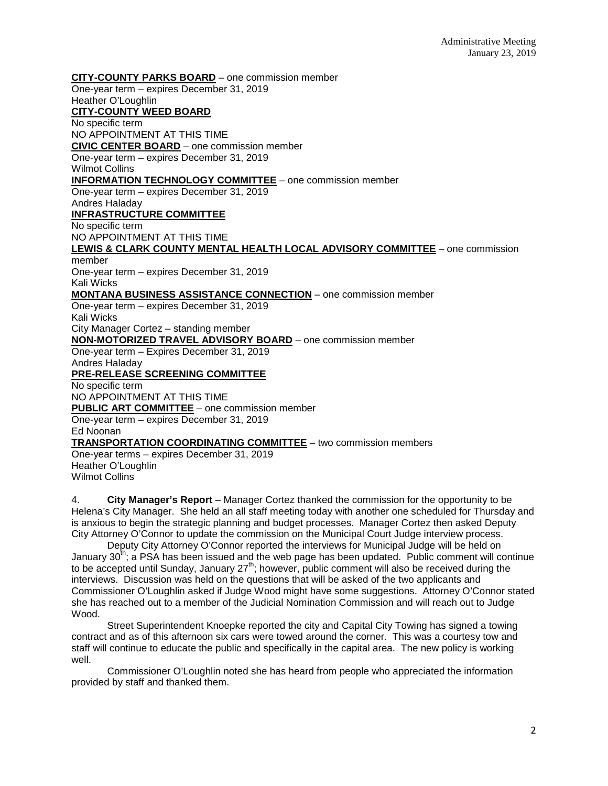**CITY-COUNTY PARKS BOARD** – one commission member One-year term – expires December 31, 2019 Heather O'Loughlin **CITY-COUNTY WEED BOARD** No specific term NO APPOINTMENT AT THIS TIME **CIVIC CENTER BOARD** – one commission member One-year term – expires December 31, 2019 Wilmot Collins **INFORMATION TECHNOLOGY COMMITTEE** – one commission member One-year term – expires December 31, 2019 Andres Haladay **INFRASTRUCTURE COMMITTEE** No specific term NO APPOINTMENT AT THIS TIME **LEWIS & CLARK COUNTY MENTAL HEALTH LOCAL ADVISORY COMMITTEE** – one commission member One-year term – expires December 31, 2019 Kali Wicks **MONTANA BUSINESS ASSISTANCE CONNECTION** – one commission member One-year term – expires December 31, 2019 Kali Wicks City Manager Cortez – standing member **NON-MOTORIZED TRAVEL ADVISORY BOARD** – one commission member One-year term – Expires December 31, 2019 Andres Haladay **PRE-RELEASE SCREENING COMMITTEE** No specific term NO APPOINTMENT AT THIS TIME **PUBLIC ART COMMITTEE** – one commission member One-year term – expires December 31, 2019 Ed Noonan **TRANSPORTATION COORDINATING COMMITTEE** – two commission members One-year terms – expires December 31, 2019 Heather O'Loughlin Wilmot Collins

4. **City Manager's Report** – Manager Cortez thanked the commission for the opportunity to be Helena's City Manager. She held an all staff meeting today with another one scheduled for Thursday and is anxious to begin the strategic planning and budget processes. Manager Cortez then asked Deputy City Attorney O'Connor to update the commission on the Municipal Court Judge interview process.

Deputy City Attorney O'Connor reported the interviews for Municipal Judge will be held on January  $30<sup>th</sup>$ ; a PSA has been issued and the web page has been updated. Public comment will continue to be accepted until Sunday, January  $27<sup>th</sup>$ ; however, public comment will also be received during the interviews. Discussion was held on the questions that will be asked of the two applicants and Commissioner O'Loughlin asked if Judge Wood might have some suggestions. Attorney O'Connor stated she has reached out to a member of the Judicial Nomination Commission and will reach out to Judge Wood.

Street Superintendent Knoepke reported the city and Capital City Towing has signed a towing contract and as of this afternoon six cars were towed around the corner. This was a courtesy tow and staff will continue to educate the public and specifically in the capital area. The new policy is working well.

Commissioner O'Loughlin noted she has heard from people who appreciated the information provided by staff and thanked them.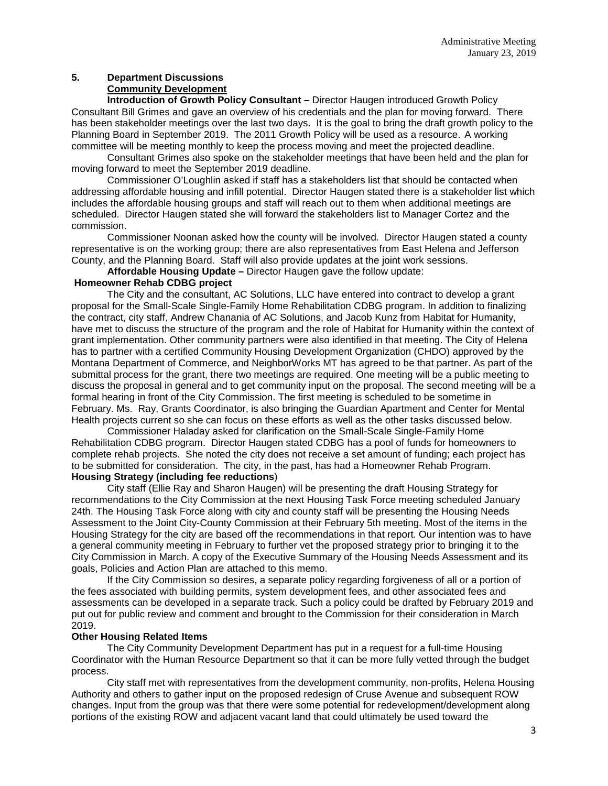# **5. Department Discussions Community Development**

**Introduction of Growth Policy Consultant –** Director Haugen introduced Growth Policy Consultant Bill Grimes and gave an overview of his credentials and the plan for moving forward. There has been stakeholder meetings over the last two days. It is the goal to bring the draft growth policy to the Planning Board in September 2019. The 2011 Growth Policy will be used as a resource. A working committee will be meeting monthly to keep the process moving and meet the projected deadline.

Consultant Grimes also spoke on the stakeholder meetings that have been held and the plan for moving forward to meet the September 2019 deadline.

Commissioner O'Loughlin asked if staff has a stakeholders list that should be contacted when addressing affordable housing and infill potential. Director Haugen stated there is a stakeholder list which includes the affordable housing groups and staff will reach out to them when additional meetings are scheduled. Director Haugen stated she will forward the stakeholders list to Manager Cortez and the commission.

Commissioner Noonan asked how the county will be involved. Director Haugen stated a county representative is on the working group; there are also representatives from East Helena and Jefferson County, and the Planning Board. Staff will also provide updates at the joint work sessions.

**Affordable Housing Update –** Director Haugen gave the follow update:

#### **Homeowner Rehab CDBG project**

The City and the consultant, AC Solutions, LLC have entered into contract to develop a grant proposal for the Small-Scale Single-Family Home Rehabilitation CDBG program. In addition to finalizing the contract, city staff, Andrew Chanania of AC Solutions, and Jacob Kunz from Habitat for Humanity, have met to discuss the structure of the program and the role of Habitat for Humanity within the context of grant implementation. Other community partners were also identified in that meeting. The City of Helena has to partner with a certified Community Housing Development Organization (CHDO) approved by the Montana Department of Commerce, and NeighborWorks MT has agreed to be that partner. As part of the submittal process for the grant, there two meetings are required. One meeting will be a public meeting to discuss the proposal in general and to get community input on the proposal. The second meeting will be a formal hearing in front of the City Commission. The first meeting is scheduled to be sometime in February. Ms. Ray, Grants Coordinator, is also bringing the Guardian Apartment and Center for Mental Health projects current so she can focus on these efforts as well as the other tasks discussed below.

Commissioner Haladay asked for clarification on the Small-Scale Single-Family Home Rehabilitation CDBG program. Director Haugen stated CDBG has a pool of funds for homeowners to complete rehab projects. She noted the city does not receive a set amount of funding; each project has to be submitted for consideration. The city, in the past, has had a Homeowner Rehab Program. **Housing Strategy (including fee reductions**)

City staff (Ellie Ray and Sharon Haugen) will be presenting the draft Housing Strategy for recommendations to the City Commission at the next Housing Task Force meeting scheduled January 24th. The Housing Task Force along with city and county staff will be presenting the Housing Needs Assessment to the Joint City-County Commission at their February 5th meeting. Most of the items in the Housing Strategy for the city are based off the recommendations in that report. Our intention was to have a general community meeting in February to further vet the proposed strategy prior to bringing it to the City Commission in March. A copy of the Executive Summary of the Housing Needs Assessment and its goals, Policies and Action Plan are attached to this memo.

If the City Commission so desires, a separate policy regarding forgiveness of all or a portion of the fees associated with building permits, system development fees, and other associated fees and assessments can be developed in a separate track. Such a policy could be drafted by February 2019 and put out for public review and comment and brought to the Commission for their consideration in March 2019.

### **Other Housing Related Items**

The City Community Development Department has put in a request for a full-time Housing Coordinator with the Human Resource Department so that it can be more fully vetted through the budget process.

City staff met with representatives from the development community, non-profits, Helena Housing Authority and others to gather input on the proposed redesign of Cruse Avenue and subsequent ROW changes. Input from the group was that there were some potential for redevelopment/development along portions of the existing ROW and adjacent vacant land that could ultimately be used toward the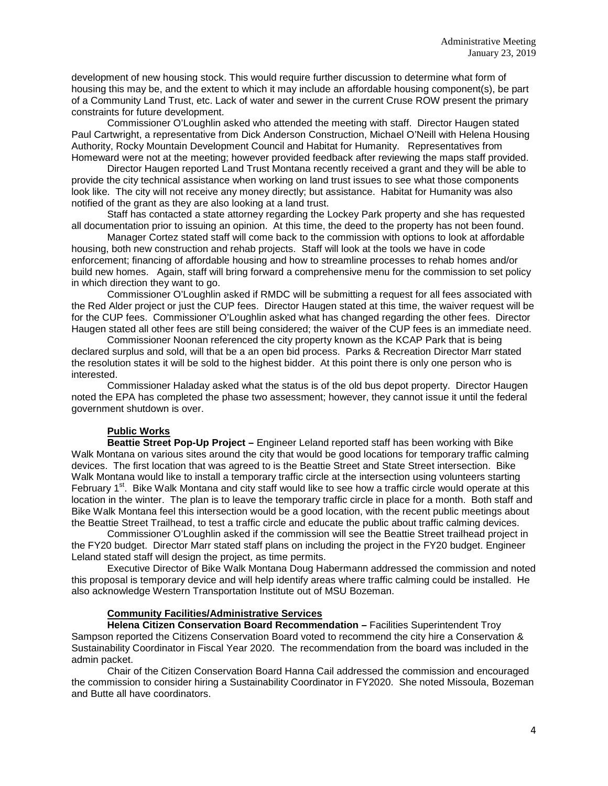development of new housing stock. This would require further discussion to determine what form of housing this may be, and the extent to which it may include an affordable housing component(s), be part of a Community Land Trust, etc. Lack of water and sewer in the current Cruse ROW present the primary constraints for future development.

Commissioner O'Loughlin asked who attended the meeting with staff. Director Haugen stated Paul Cartwright, a representative from Dick Anderson Construction, Michael O'Neill with Helena Housing Authority, Rocky Mountain Development Council and Habitat for Humanity. Representatives from Homeward were not at the meeting; however provided feedback after reviewing the maps staff provided.

Director Haugen reported Land Trust Montana recently received a grant and they will be able to provide the city technical assistance when working on land trust issues to see what those components look like. The city will not receive any money directly; but assistance. Habitat for Humanity was also notified of the grant as they are also looking at a land trust.

Staff has contacted a state attorney regarding the Lockey Park property and she has requested all documentation prior to issuing an opinion. At this time, the deed to the property has not been found.

Manager Cortez stated staff will come back to the commission with options to look at affordable housing, both new construction and rehab projects. Staff will look at the tools we have in code enforcement; financing of affordable housing and how to streamline processes to rehab homes and/or build new homes. Again, staff will bring forward a comprehensive menu for the commission to set policy in which direction they want to go.

Commissioner O'Loughlin asked if RMDC will be submitting a request for all fees associated with the Red Alder project or just the CUP fees. Director Haugen stated at this time, the waiver request will be for the CUP fees. Commissioner O'Loughlin asked what has changed regarding the other fees. Director Haugen stated all other fees are still being considered; the waiver of the CUP fees is an immediate need.

Commissioner Noonan referenced the city property known as the KCAP Park that is being declared surplus and sold, will that be a an open bid process. Parks & Recreation Director Marr stated the resolution states it will be sold to the highest bidder. At this point there is only one person who is interested.

Commissioner Haladay asked what the status is of the old bus depot property. Director Haugen noted the EPA has completed the phase two assessment; however, they cannot issue it until the federal government shutdown is over.

## **Public Works**

**Beattie Street Pop-Up Project –** Engineer Leland reported staff has been working with Bike Walk Montana on various sites around the city that would be good locations for temporary traffic calming devices. The first location that was agreed to is the Beattie Street and State Street intersection. Bike Walk Montana would like to install a temporary traffic circle at the intersection using volunteers starting February 1<sup>st</sup>. Bike Walk Montana and city staff would like to see how a traffic circle would operate at this location in the winter. The plan is to leave the temporary traffic circle in place for a month. Both staff and Bike Walk Montana feel this intersection would be a good location, with the recent public meetings about the Beattie Street Trailhead, to test a traffic circle and educate the public about traffic calming devices.

Commissioner O'Loughlin asked if the commission will see the Beattie Street trailhead project in the FY20 budget. Director Marr stated staff plans on including the project in the FY20 budget. Engineer Leland stated staff will design the project, as time permits.

Executive Director of Bike Walk Montana Doug Habermann addressed the commission and noted this proposal is temporary device and will help identify areas where traffic calming could be installed. He also acknowledge Western Transportation Institute out of MSU Bozeman.

### **Community Facilities/Administrative Services**

**Helena Citizen Conservation Board Recommendation –** Facilities Superintendent Troy Sampson reported the Citizens Conservation Board voted to recommend the city hire a Conservation & Sustainability Coordinator in Fiscal Year 2020. The recommendation from the board was included in the admin packet.

Chair of the Citizen Conservation Board Hanna Cail addressed the commission and encouraged the commission to consider hiring a Sustainability Coordinator in FY2020. She noted Missoula, Bozeman and Butte all have coordinators.